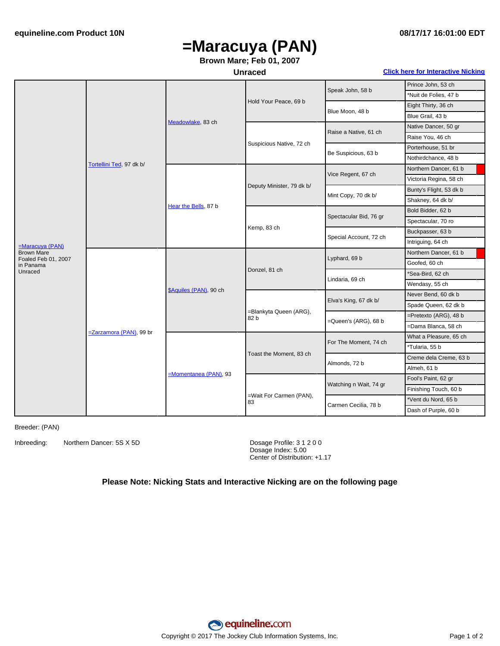# **=Maracuya (PAN)**

### **Brown Mare; Feb 01, 2007**

### **Unraced Click here for [Interactive](#page-1-0) Nicking**

|                                          | Tortellini Ted, 97 dk b/ | Meadowlake, 83 ch       | Hold Your Peace, 69 b          | Speak John, 58 b       | Prince John, 53 ch      |
|------------------------------------------|--------------------------|-------------------------|--------------------------------|------------------------|-------------------------|
|                                          |                          |                         |                                |                        | *Nuit de Folies, 47 b   |
|                                          |                          |                         |                                | Blue Moon, 48 b        | Eight Thirty, 36 ch     |
|                                          |                          |                         |                                |                        | Blue Grail, 43 b        |
|                                          |                          |                         | Suspicious Native, 72 ch       | Raise a Native, 61 ch  | Native Dancer, 50 gr    |
|                                          |                          |                         |                                |                        | Raise You, 46 ch        |
|                                          |                          |                         |                                | Be Suspicious, 63 b    | Porterhouse, 51 br      |
|                                          |                          |                         |                                |                        | Nothirdchance, 48 b     |
|                                          |                          | Hear the Bells, 87 b    | Deputy Minister, 79 dk b/      | Vice Regent, 67 ch     | Northern Dancer, 61 b   |
|                                          |                          |                         |                                |                        | Victoria Regina, 58 ch  |
|                                          |                          |                         |                                | Mint Copy, 70 dk b/    | Bunty's Flight, 53 dk b |
|                                          |                          |                         |                                |                        | Shakney, 64 dk b/       |
|                                          |                          |                         | Kemp, 83 ch                    | Spectacular Bid, 76 gr | Bold Bidder, 62 b       |
|                                          |                          |                         |                                |                        | Spectacular, 70 ro      |
|                                          |                          |                         |                                | Special Account, 72 ch | Buckpasser, 63 b        |
| $=Marcuya$ (PAN)                         |                          |                         |                                |                        | Intriguing, 64 ch       |
| <b>Brown Mare</b><br>Foaled Feb 01, 2007 | =Zarzamora (PAN), 99 br  | \$Aquiles (PAN), 90 ch  | Donzel, 81 ch                  | Lyphard, 69 b          | Northern Dancer, 61 b   |
| in Panama                                |                          |                         |                                |                        | Goofed, 60 ch           |
| Unraced                                  |                          |                         |                                | Lindaria, 69 ch        | *Sea-Bird, 62 ch        |
|                                          |                          |                         |                                |                        | Wendasy, 55 ch          |
|                                          |                          |                         | =Blankyta Queen (ARG),<br>82 b | Elva's King, 67 dk b/  | Never Bend, 60 dk b     |
|                                          |                          |                         |                                |                        | Spade Queen, 62 dk b    |
|                                          |                          |                         |                                | =Queen's (ARG), 68 b   | =Pretexto (ARG), 48 b   |
|                                          |                          |                         |                                |                        | =Dama Blanca, 58 ch     |
|                                          |                          | $M$ omentanea (PAN), 93 | Toast the Moment, 83 ch        | For The Moment, 74 ch  | What a Pleasure, 65 ch  |
|                                          |                          |                         |                                |                        | *Tularia, 55 b          |
|                                          |                          |                         |                                | Almonds, 72 b          | Creme dela Creme, 63 b  |
|                                          |                          |                         |                                |                        | Almeh, 61 b             |
|                                          |                          |                         | =Wait For Carmen (PAN),<br>83  | Watching n Wait, 74 gr | Fool's Paint, 62 gr     |
|                                          |                          |                         |                                |                        | Finishing Touch, 60 b   |
|                                          |                          |                         |                                | Carmen Cecilia, 78 b   | *Vent du Nord, 65 b     |
|                                          |                          |                         |                                |                        | Dash of Purple, 60 b    |

Breeder: (PAN)

Inbreeding: Northern Dancer: 5S X 5D Dosage Profile: 3 1 2 0 0

Dosage Index: 5.00 Center of Distribution: +1.17

### **Please Note: Nicking Stats and Interactive Nicking are on the following page**